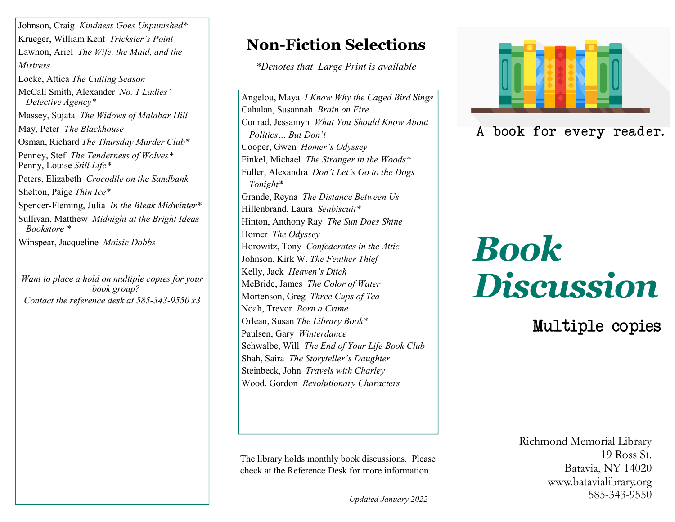Johnson, Craig Kindness Goes Unpunished\* Krueger, William Kent Trickster's Point Lawhon, Ariel The Wife, the Maid, and the **Mistress** Locke, Attica The Cutting Season McCall Smith, Alexander No. 1 Ladies' Detective Agency\* Massey, Sujata The Widows of Malabar Hill May, Peter The Blackhouse Osman, Richard The Thursday Murder Club\* Penney, Stef The Tenderness of Wolves\* Penny, Louise Still Life\* Peters, Elizabeth Crocodile on the Sandbank Shelton, Paige Thin Ice\* Spencer-Fleming, Julia In the Bleak Midwinter\* Sullivan, Matthew Midnight at the Bright Ideas Bookstore \* Winspear, Jacqueline Maisie Dobbs

Want to place a hold on multiple copies for your book group? Contact the reference desk at  $585-343-9550 x3$ 

## Non-Fiction Selections

\*Denotes that Large Print is available

Angelou, Maya I Know Why the Caged Bird Sings Cahalan, Susannah Brain on Fire Conrad, Jessamyn What You Should Know About Politics… But Don't Cooper, Gwen Homer's Odyssey Finkel, Michael The Stranger in the Woods\* Fuller, Alexandra Don't Let's Go to the Dogs Tonight\* Grande, Reyna The Distance Between Us Hillenbrand, Laura Seabiscuit\* Hinton, Anthony Ray The Sun Does Shine Homer The Odyssey Horowitz, Tony Confederates in the Attic Johnson, Kirk W. The Feather Thief Kelly, Jack Heaven's Ditch McBride, James The Color of Water Mortenson, Greg Three Cups of Tea Noah, Trevor Born a Crime Orlean, Susan The Library Book\* Paulsen, Gary Winterdance Schwalbe, Will The End of Your Life Book Club Shah, Saira The Storyteller's Daughter Steinbeck, John Travels with Charley Wood, Gordon Revolutionary Characters

The library holds monthly book discussions. Please check at the Reference Desk for more information.



A book for every reader.

## Book Discussion

Multiple copies

Richmond Memorial Library 19 Ross St. Batavia, NY 14020 www.batavialibrary.org 585-343-9550

Updated January 2022